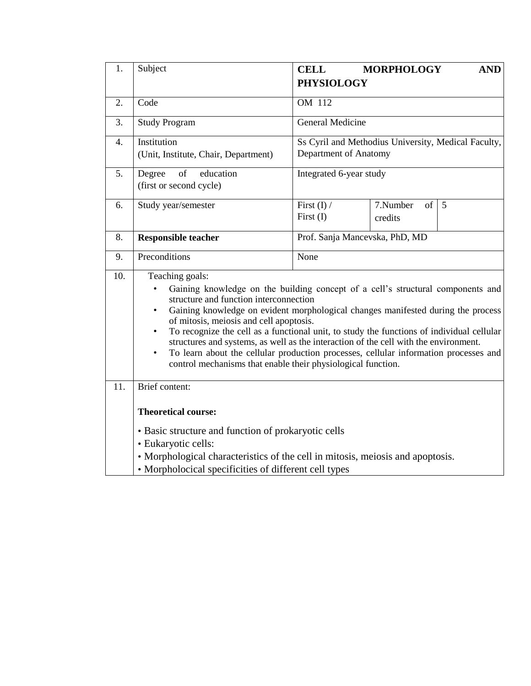| 1.               | Subject                                                                                                                                                                                                                                                                                                                                                                                                                                                                                                                                                                                                                                            | <b>CELL</b><br><b>PHYSIOLOGY</b>                                            | <b>MORPHOLOGY</b>              | <b>AND</b> |  |  |  |  |
|------------------|----------------------------------------------------------------------------------------------------------------------------------------------------------------------------------------------------------------------------------------------------------------------------------------------------------------------------------------------------------------------------------------------------------------------------------------------------------------------------------------------------------------------------------------------------------------------------------------------------------------------------------------------------|-----------------------------------------------------------------------------|--------------------------------|------------|--|--|--|--|
| 2.               | Code                                                                                                                                                                                                                                                                                                                                                                                                                                                                                                                                                                                                                                               | OM 112                                                                      |                                |            |  |  |  |  |
| 3.               | <b>Study Program</b>                                                                                                                                                                                                                                                                                                                                                                                                                                                                                                                                                                                                                               | <b>General Medicine</b>                                                     |                                |            |  |  |  |  |
| $\overline{4}$ . | Ss Cyril and Methodius University, Medical Faculty,<br>Institution<br>Department of Anatomy<br>(Unit, Institute, Chair, Department)                                                                                                                                                                                                                                                                                                                                                                                                                                                                                                                |                                                                             |                                |            |  |  |  |  |
| 5.               | Degree<br>of<br>education<br>(first or second cycle)                                                                                                                                                                                                                                                                                                                                                                                                                                                                                                                                                                                               |                                                                             | Integrated 6-year study        |            |  |  |  |  |
| 6.               | Study year/semester                                                                                                                                                                                                                                                                                                                                                                                                                                                                                                                                                                                                                                | First $(I)$ /<br>7.Number<br>of<br>$\overline{5}$<br>First $(I)$<br>credits |                                |            |  |  |  |  |
| 8.               | <b>Responsible teacher</b>                                                                                                                                                                                                                                                                                                                                                                                                                                                                                                                                                                                                                         |                                                                             | Prof. Sanja Mancevska, PhD, MD |            |  |  |  |  |
| 9.               | Preconditions                                                                                                                                                                                                                                                                                                                                                                                                                                                                                                                                                                                                                                      | None                                                                        |                                |            |  |  |  |  |
| 10.              | Teaching goals:<br>Gaining knowledge on the building concept of a cell's structural components and<br>structure and function interconnection<br>Gaining knowledge on evident morphological changes manifested during the process<br>of mitosis, meiosis and cell apoptosis.<br>To recognize the cell as a functional unit, to study the functions of individual cellular<br>$\bullet$<br>structures and systems, as well as the interaction of the cell with the environment.<br>To learn about the cellular production processes, cellular information processes and<br>$\bullet$<br>control mechanisms that enable their physiological function. |                                                                             |                                |            |  |  |  |  |
| 11.              | Brief content:<br><b>Theoretical course:</b>                                                                                                                                                                                                                                                                                                                                                                                                                                                                                                                                                                                                       |                                                                             |                                |            |  |  |  |  |
|                  | • Basic structure and function of prokaryotic cells<br>· Eukaryotic cells:<br>• Morphological characteristics of the cell in mitosis, meiosis and apoptosis.<br>• Morpholocical specificities of different cell types                                                                                                                                                                                                                                                                                                                                                                                                                              |                                                                             |                                |            |  |  |  |  |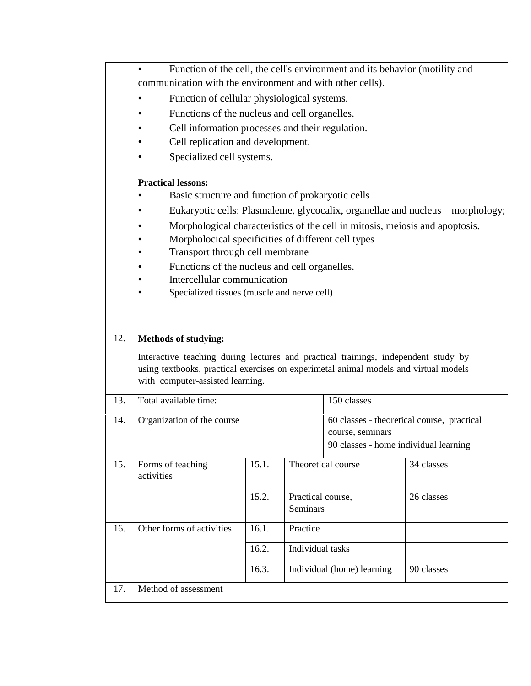|     | Function of the cell, the cell's environment and its behavior (motility and<br>$\bullet$ |                                                                                      |                   |                                            |                                                                              |  |  |  |  |  |
|-----|------------------------------------------------------------------------------------------|--------------------------------------------------------------------------------------|-------------------|--------------------------------------------|------------------------------------------------------------------------------|--|--|--|--|--|
|     | communication with the environment and with other cells).                                |                                                                                      |                   |                                            |                                                                              |  |  |  |  |  |
|     | Function of cellular physiological systems.<br>$\bullet$                                 |                                                                                      |                   |                                            |                                                                              |  |  |  |  |  |
|     | ٠                                                                                        | Functions of the nucleus and cell organelles.                                        |                   |                                            |                                                                              |  |  |  |  |  |
|     |                                                                                          | Cell information processes and their regulation.                                     |                   |                                            |                                                                              |  |  |  |  |  |
|     |                                                                                          | Cell replication and development.                                                    |                   |                                            |                                                                              |  |  |  |  |  |
|     | ٠                                                                                        | Specialized cell systems.                                                            |                   |                                            |                                                                              |  |  |  |  |  |
|     |                                                                                          |                                                                                      |                   |                                            |                                                                              |  |  |  |  |  |
|     | <b>Practical lessons:</b><br>Basic structure and function of prokaryotic cells           |                                                                                      |                   |                                            |                                                                              |  |  |  |  |  |
|     | ٠<br>Eukaryotic cells: Plasmaleme, glycocalix, organellae and nucleus<br>٠               |                                                                                      |                   |                                            | morphology;                                                                  |  |  |  |  |  |
|     |                                                                                          |                                                                                      |                   |                                            |                                                                              |  |  |  |  |  |
|     | ٠                                                                                        |                                                                                      |                   |                                            | Morphological characteristics of the cell in mitosis, meiosis and apoptosis. |  |  |  |  |  |
|     | Morpholocical specificities of different cell types<br>Transport through cell membrane   |                                                                                      |                   |                                            |                                                                              |  |  |  |  |  |
|     | Functions of the nucleus and cell organelles.                                            |                                                                                      |                   |                                            |                                                                              |  |  |  |  |  |
|     | Intercellular communication                                                              |                                                                                      |                   |                                            |                                                                              |  |  |  |  |  |
|     | ٠                                                                                        | Specialized tissues (muscle and nerve cell)                                          |                   |                                            |                                                                              |  |  |  |  |  |
|     |                                                                                          |                                                                                      |                   |                                            |                                                                              |  |  |  |  |  |
|     |                                                                                          |                                                                                      |                   |                                            |                                                                              |  |  |  |  |  |
| 12. | <b>Methods of studying:</b>                                                              |                                                                                      |                   |                                            |                                                                              |  |  |  |  |  |
|     | Interactive teaching during lectures and practical trainings, independent study by       |                                                                                      |                   |                                            |                                                                              |  |  |  |  |  |
|     |                                                                                          | using textbooks, practical exercises on experimetal animal models and virtual models |                   |                                            |                                                                              |  |  |  |  |  |
|     | with computer-assisted learning.                                                         |                                                                                      |                   |                                            |                                                                              |  |  |  |  |  |
| 13. | Total available time:                                                                    |                                                                                      |                   | 150 classes                                |                                                                              |  |  |  |  |  |
| 14. | Organization of the course                                                               |                                                                                      |                   | 60 classes - theoretical course, practical |                                                                              |  |  |  |  |  |
|     |                                                                                          |                                                                                      |                   | course, seminars                           |                                                                              |  |  |  |  |  |
|     |                                                                                          |                                                                                      |                   | 90 classes - home individual learning      |                                                                              |  |  |  |  |  |
| 15. | Forms of teaching<br>activities                                                          | 15.1.                                                                                |                   | Theoretical course                         | 34 classes                                                                   |  |  |  |  |  |
|     |                                                                                          | 15.2.                                                                                | Practical course, |                                            | 26 classes                                                                   |  |  |  |  |  |
|     |                                                                                          |                                                                                      | Seminars          |                                            |                                                                              |  |  |  |  |  |
| 16. | Other forms of activities                                                                | 16.1.                                                                                | Practice          |                                            |                                                                              |  |  |  |  |  |
|     |                                                                                          | 16.2.                                                                                | Individual tasks  |                                            |                                                                              |  |  |  |  |  |
|     |                                                                                          |                                                                                      |                   |                                            |                                                                              |  |  |  |  |  |
|     |                                                                                          | 16.3.                                                                                |                   | Individual (home) learning                 | 90 classes                                                                   |  |  |  |  |  |
| 17. | Method of assessment                                                                     |                                                                                      |                   |                                            |                                                                              |  |  |  |  |  |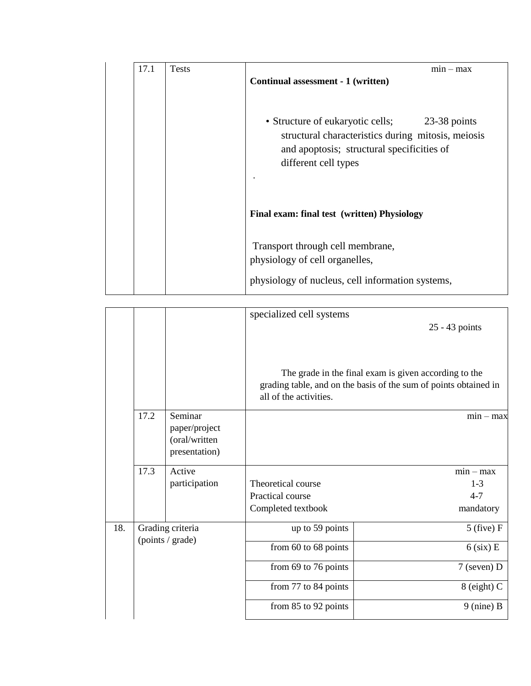| 17.1 | <b>Tests</b> | $min - max$                                                                                                                                                               |
|------|--------------|---------------------------------------------------------------------------------------------------------------------------------------------------------------------------|
|      |              | Continual assessment - 1 (written)                                                                                                                                        |
|      |              | • Structure of eukaryotic cells; 23-38 points<br>structural characteristics during mitosis, meiosis<br>and apoptosis; structural specificities of<br>different cell types |
|      |              | Final exam: final test (written) Physiology                                                                                                                               |
|      |              | Transport through cell membrane,                                                                                                                                          |
|      |              | physiology of cell organelles,                                                                                                                                            |
|      |              | physiology of nucleus, cell information systems,                                                                                                                          |

| 25 - 43 points<br>The grade in the final exam is given according to the<br>grading table, and on the basis of the sum of points obtained in<br>all of the activities.<br>17.2<br>Seminar<br>paper/project<br>(oral/written<br>presentation)<br>17.3<br>Active<br>participation<br>Theoretical course<br>Practical course<br>$4 - 7$<br>Completed textbook<br>18.<br>Grading criteria<br>up to 59 points<br>(points / grade)<br>from 60 to 68 points<br>from 69 to 76 points |  |  |  | specialized cell systems |                |  |  |  |  |
|-----------------------------------------------------------------------------------------------------------------------------------------------------------------------------------------------------------------------------------------------------------------------------------------------------------------------------------------------------------------------------------------------------------------------------------------------------------------------------|--|--|--|--------------------------|----------------|--|--|--|--|
|                                                                                                                                                                                                                                                                                                                                                                                                                                                                             |  |  |  |                          |                |  |  |  |  |
|                                                                                                                                                                                                                                                                                                                                                                                                                                                                             |  |  |  |                          |                |  |  |  |  |
|                                                                                                                                                                                                                                                                                                                                                                                                                                                                             |  |  |  |                          | $min - max$    |  |  |  |  |
|                                                                                                                                                                                                                                                                                                                                                                                                                                                                             |  |  |  |                          |                |  |  |  |  |
|                                                                                                                                                                                                                                                                                                                                                                                                                                                                             |  |  |  |                          |                |  |  |  |  |
|                                                                                                                                                                                                                                                                                                                                                                                                                                                                             |  |  |  |                          |                |  |  |  |  |
|                                                                                                                                                                                                                                                                                                                                                                                                                                                                             |  |  |  |                          | $min - max$    |  |  |  |  |
|                                                                                                                                                                                                                                                                                                                                                                                                                                                                             |  |  |  |                          | $1 - 3$        |  |  |  |  |
|                                                                                                                                                                                                                                                                                                                                                                                                                                                                             |  |  |  |                          |                |  |  |  |  |
|                                                                                                                                                                                                                                                                                                                                                                                                                                                                             |  |  |  |                          | mandatory      |  |  |  |  |
|                                                                                                                                                                                                                                                                                                                                                                                                                                                                             |  |  |  |                          | $5$ (five) $F$ |  |  |  |  |
|                                                                                                                                                                                                                                                                                                                                                                                                                                                                             |  |  |  |                          | $6$ (six) E    |  |  |  |  |
|                                                                                                                                                                                                                                                                                                                                                                                                                                                                             |  |  |  |                          | $7$ (seven) D  |  |  |  |  |
|                                                                                                                                                                                                                                                                                                                                                                                                                                                                             |  |  |  | from 77 to 84 points     | $8$ (eight) C  |  |  |  |  |
| from 85 to 92 points                                                                                                                                                                                                                                                                                                                                                                                                                                                        |  |  |  |                          | $9$ (nine) B   |  |  |  |  |